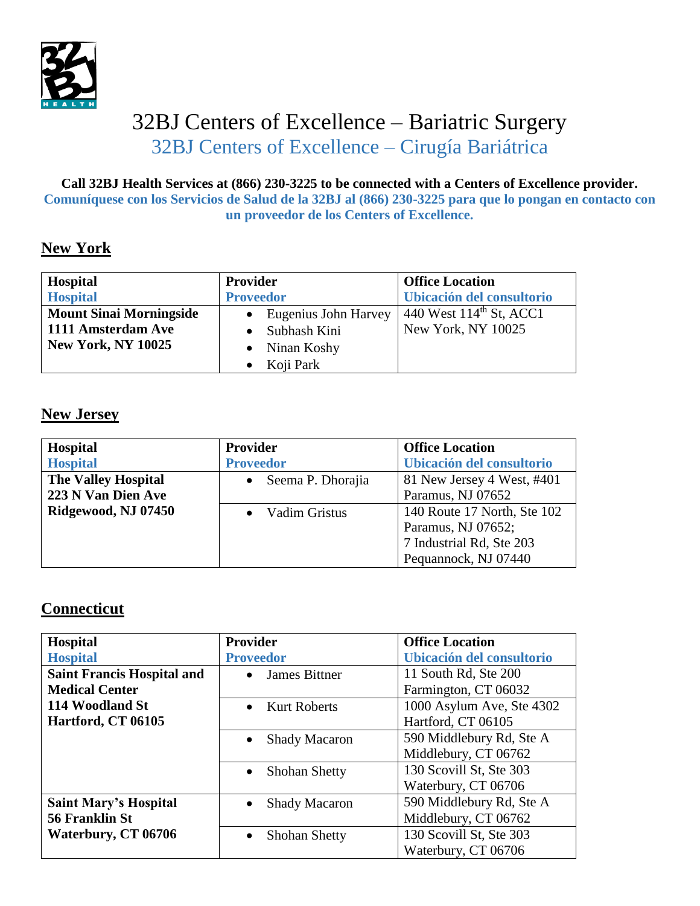

# 32BJ Centers of Excellence – Bariatric Surgery 32BJ Centers of Excellence – Cirugía Bariátrica

#### **Call 32BJ Health Services at (866) 230-3225 to be connected with a Centers of Excellence provider. Comuníquese con los Servicios de Salud de la 32BJ al (866) 230-3225 para que lo pongan en contacto con un proveedor de los Centers of Excellence.**

### **New York**

| Hospital                       | Provider             | <b>Office Location</b>              |
|--------------------------------|----------------------|-------------------------------------|
| <b>Hospital</b>                | <b>Proveedor</b>     | Ubicación del consultorio           |
| <b>Mount Sinai Morningside</b> | Eugenius John Harvey | 440 West 114 <sup>th</sup> St, ACC1 |
| 1111 Amsterdam Ave             | Subhash Kini         | New York, NY 10025                  |
| <b>New York, NY 10025</b>      | Ninan Koshy          |                                     |
|                                | Koji Park            |                                     |

#### **New Jersey**

| <b>Hospital</b>            | <b>Provider</b>   | <b>Office Location</b>      |
|----------------------------|-------------------|-----------------------------|
| <b>Hospital</b>            | <b>Proveedor</b>  | Ubicación del consultorio   |
| <b>The Valley Hospital</b> | Seema P. Dhorajia | 81 New Jersey 4 West, #401  |
| 223 N Van Dien Ave         |                   | Paramus, NJ 07652           |
| Ridgewood, NJ 07450        | Vadim Gristus     | 140 Route 17 North, Ste 102 |
|                            |                   | Paramus, NJ 07652;          |
|                            |                   | 7 Industrial Rd, Ste 203    |
|                            |                   | Pequannock, NJ 07440        |

#### **Connecticut**

| Hospital                          | <b>Provider</b>                   | <b>Office Location</b>    |
|-----------------------------------|-----------------------------------|---------------------------|
| <b>Hospital</b>                   | <b>Proveedor</b>                  | Ubicación del consultorio |
| <b>Saint Francis Hospital and</b> | <b>James Bittner</b><br>$\bullet$ | 11 South Rd, Ste 200      |
| <b>Medical Center</b>             |                                   | Farmington, CT 06032      |
| 114 Woodland St                   | <b>Kurt Roberts</b>               | 1000 Asylum Ave, Ste 4302 |
| Hartford, CT 06105                |                                   | Hartford, CT 06105        |
|                                   | <b>Shady Macaron</b>              | 590 Middlebury Rd, Ste A  |
|                                   |                                   | Middlebury, CT 06762      |
|                                   | Shohan Shetty<br>$\bullet$        | 130 Scovill St, Ste 303   |
|                                   |                                   | Waterbury, CT 06706       |
| <b>Saint Mary's Hospital</b>      | <b>Shady Macaron</b>              | 590 Middlebury Rd, Ste A  |
| 56 Franklin St                    |                                   | Middlebury, CT 06762      |
| Waterbury, CT 06706               | Shohan Shetty<br>$\bullet$        | 130 Scovill St, Ste 303   |
|                                   |                                   | Waterbury, CT 06706       |